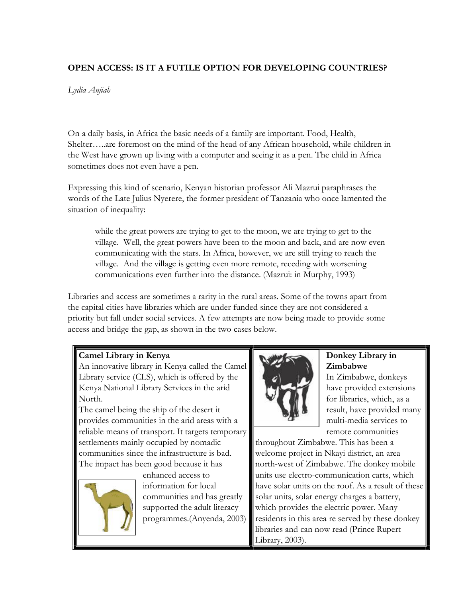# **OPEN ACCESS: IS IT A FUTILE OPTION FOR DEVELOPING COUNTRIES?**

*Lydia Anjiah*

On <sup>a</sup> daily basis, in Africa the basic needs of a family are important. Food, Health, Shelter…..are foremost on the mind of the head of any African household, while children in the West have grown up living with a computer and seeing it as a pen. The child in Africa sometimes does not even have a pen.

Expressing this kind of scenario, Kenyan historian professor Ali Mazrui paraphrases the words of the Late Julius Nyerere, the former president of Tanzania who once lamented the situation of inequality:

while the great powers are trying to get to the moon, we are trying to get to the village. Well, the great powers have been to the moon and back, and are now even communicating with the stars. In Africa, however, we are still trying to reach the village. And the village is getting even more remote, receding with worsening communications even further into the distance. (Mazrui: in Murphy, 1993)

Libraries and access are sometimes a rarity in the rural areas. Some of the towns apart from the capital cities have libraries which are under funded since they are not considered a priority but fall under social services. A few attempts are now being made to provide some access and bridge the gap, as shown in the two cases below.

### **Camel Library in Kenya**

An innovative library in Kenya called the Camel Library service (CLS), which is offered by the Kenya National Library Services in the arid North. The camel being the ship of the desert it

provides communities in the arid areas with a reliable means of transport. It targets temporary settlements mainly occupied by nomadic communities since the infrastructure is bad. The impact has been good because it has



enhanced access to information for local communities and has greatly supported the adult literacy programmes.(Anyenda, 2003)



## **Donkey Library in Zimbabwe**

In Zimbabwe, donkeys have provided extensions for libraries, which, as a result, have provided many multi-media services to remote communities

throughout Zimbabwe. This has been a welcome project in Nkayi district, an area north-west of Zimbabwe. The donkey mobile units use electro-communication carts, which have solar units on the roof. As a result of these solar units, solar energy charges a battery, which provides the electric power. Many residents in this area re served by these donkey libraries and can now read (Prince Rupert Library, 2003).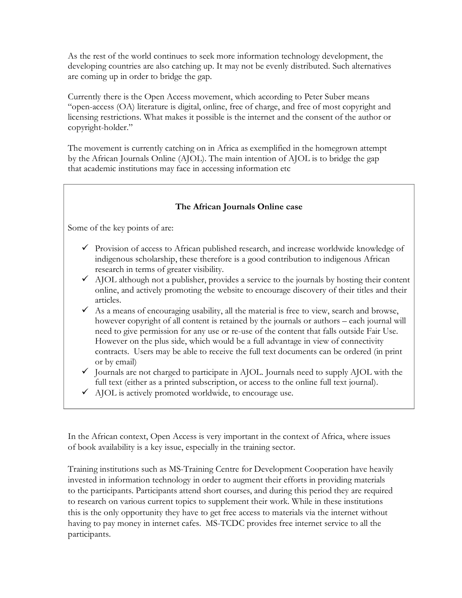As the rest of the world continues to seek more information technology development, the developing countries are also catching up. It may not be evenly distributed. Such alternatives are coming up in order to bridge the gap.

Currently there is the Open Access movement, which according to Peter Suber means "open-access (OA) literature is digital, online, free of charge, and free of most copyright and licensing restrictions. What makes it possible is the internet and the consent of the author or copyright-holder."

The movement is currently catching on in Africa as exemplified in the homegrown attempt by the African [Journals Online \(AJOL\).](http://www.ajol.info/) The main intention of AJOL is to bridge the gap that academic institutions may face in accessing information etc

#### **The African Journals Online case**

Some of the key points of are:

- $\checkmark$  Provision of access to African published research, and increase worldwide knowledge of indigenous scholarship, these therefore is a good contribution to indigenous African research in terms of greater visibility.
- $\checkmark$  AJOL although not a publisher, provides a service to the journals by hosting their content online, and actively promoting the website to encourage discovery of their titles and their articles.
- $\checkmark$  As a means of encouraging usability, all the material is free to view, search and browse, however copyright of all content is retained by the journals or authors – each journal will need to give permission for any use or re-use of the content that falls outside Fair Use. However on the plus side, which would be a full advantage in view of connectivity contracts. Users may be able to receive the full text documents can be ordered (in print or by email)
- $\checkmark$  Journals are not charged to participate in AJOL. Journals need to supply AJOL with the full text (either as a printed subscription, or access to the online full text journal).
- $\checkmark$  AJOL is actively promoted worldwide, to encourage use.

In the African context, Open Access is very important in the context of Africa, where issues of book availability is a key issue, especially in the training sector.

Training institutions such as MS-Training Centre for Development Cooperation have heavily invested in information technology in order to augment their efforts in providing materials to the participants. Participants attend short courses, and during this period they are required to research on various current topics to supplement their work. While in these institutions this is the only opportunity they have to get free access to materials via the internet without having to pay money in internet cafes. MS-TCDC provides free internet service to all the participants.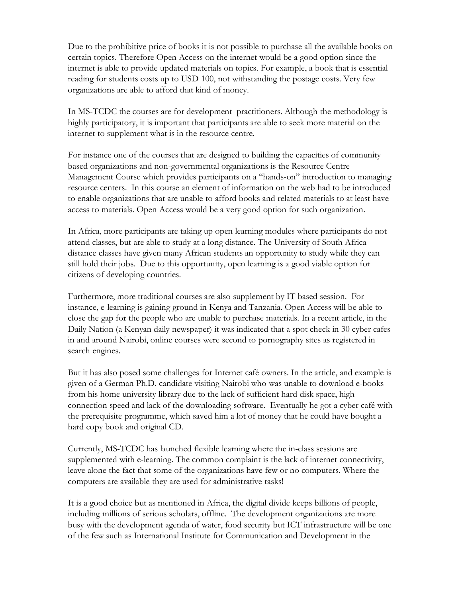Due to the prohibitive price of books it is not possible to purchase all the available books on certain topics. Therefore Open Access on the internet would be a good option since the internet is able to provide updated materials on topics. For example, a book that is essential reading for students costs up to USD 100, not withstanding the postage costs. Very few organizations are able to afford that kind of money.

In MS-TCDC the courses are for development practitioners. Although the methodology is highly participatory, it is important that participants are able to seek more material on the internet to supplement what is in the resource centre.

For instance one of the courses that are designed to building the capacities of community based organizations and non-governmental organizations is the Resource Centre Management Course which provides participants on a "hands-on" introduction to managing resource centers. In this course an element of information on the web had to be introduced to enable organizations that are unable to afford books and related materials to at least have access to materials. Open Access would be a very good option for such organization.

In Africa, more participants are taking up open learning modules where participants do not attend classes, but are able to study at a long distance. The University of South Africa distance classes have given many African students an opportunity to study while they can still hold their jobs. Due to this opportunity, open learning is a good viable option for citizens of developing countries.

Furthermore, more traditional courses are also supplement by IT based session. For instance, e-learning is gaining ground in Kenya and Tanzania. Open Access will be able to close the gap for the people who are unable to purchase materials. In a recent article, in the Daily Nation (a Kenyan daily newspaper) it was indicated that a spot check in 30 cyber cafes in and around Nairobi, online courses were second to pornography sites as registered in search engines.

But it has also posed some challenges for Internet café owners. In the article, and example is given of a German Ph.D. candidate visiting Nairobi who was unable to download e-books from his home university library due to the lack of sufficient hard disk space, high connection speed and lack of the downloading software. Eventually he got a cyber café with the prerequisite programme, which saved him a lot of money that he could have bought a hard copy book and original CD.

Currently, MS-TCDC has launched flexible learning where the in-class sessions are supplemented with e-learning. The common complaint is the lack of internet connectivity, leave alone the fact that some of the organizations have few or no computers. Where the computers are available they are used for administrative tasks!

It is a good choice but as mentioned in Africa, the digital divide keeps billions of people, including millions of serious scholars, offline. The development organizations are more busy with the development agenda of water, food security but ICT infrastructure will be one of the few such as International Institute for Communication and Development in the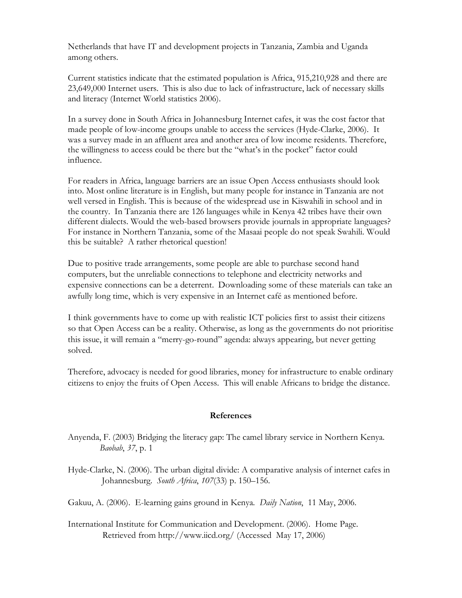Netherlands that have IT and development projects in Tanzania, Zambia and Uganda among others.

Current statistics indicate that the estimated population is Africa, 915,210,928 and there are 23,649,000 Internet users. This is also due to lack of infrastructure, lack of necessary skills and literacy (Internet World statistics 2006).

In a survey done in South Africa in Johannesburg Internet cafes, it was the cost factor that made people of low-income groups unable to access the services (Hyde-Clarke, 2006). It was a survey made in an affluent area and another area of low income residents. Therefore, the willingness to access could be there but the "what's in the pocket" factor could influence.

For readers in Africa, language barriers are an issue Open Access enthusiasts should look into. Most online literature is in English, but many people for instance in Tanzania are not well versed in English. This is because of the widespread use in Kiswahili in school and in the country. In Tanzania there are 126 languages while in Kenya 42 tribes have their own different dialects. Would the web-based browsers provide journals in appropriate languages? For instance in Northern Tanzania, some of the Masaai people do not speak Swahili. Would this be suitable? A rather rhetorical question!

Due to positive trade arrangements, some people are able to purchase second hand computers, but the unreliable connections to telephone and electricity networks and expensive connections can be a deterrent. Downloading some of these materials can take an awfully long time, which is very expensive in an Internet café as mentioned before.

I think governments have to come up with realistic ICT policies first to assist their citizens so that Open Access can be a reality. Otherwise, as long as the governments do not prioritise this issue, it will remain a "merry-go-round" agenda: always appearing, but never getting solved.

Therefore, advocacy is needed for good libraries, money for infrastructure to enable ordinary citizens to enjoy the fruits of Open Access. This will enable Africans to bridge the distance.

#### **References**

- Anyenda, F. (2003) Bridging the literacy gap: The camel library service in Northern Kenya. *Baobab*, *37*, p. 1
- Hyde-Clarke, N. (2006). The urban digital divide: A comparative analysis of internet cafes in Johannesburg. *South Africa*, *<sup>107</sup>*(33) p. 150–156. Gakuu, A. (2006). E-learning gains ground in Kenya. *Daily Nation*, 11 May, 2006.

International Institute for Communication and Development. (2006). Home Page. Retrieved from http://www.iicd.org/ (Accessed May 17, 2006)